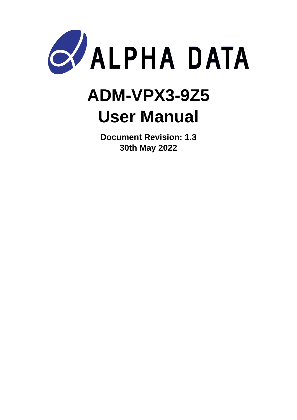

# **ADM-VPX3-9Z5 User Manual**

**Document Revision: 1.3 30th May 2022**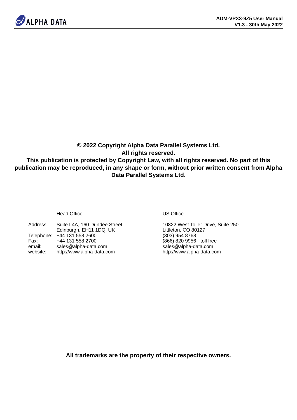

**© 2022 Copyright Alpha Data Parallel Systems Ltd. All rights reserved.**

**This publication is protected by Copyright Law, with all rights reserved. No part of this publication may be reproduced, in any shape or form, without prior written consent from Alpha Data Parallel Systems Ltd.**

Head Office

US Office

|                             | 10822 West Toller Drive, Suite 250                                                    |
|-----------------------------|---------------------------------------------------------------------------------------|
|                             | Littleton, CO 80127                                                                   |
| Telephone: +44 131 558 2600 | (303) 954 8768                                                                        |
| +44 131 558 2700            | (866) 820 9956 - toll free                                                            |
| sales@alpha-data.com        | sales@alpha-data.com                                                                  |
|                             | http://www.alpha-data.com                                                             |
|                             | Suite L4A, 160 Dundee Street.<br>Edinburgh, EH11 1DQ, UK<br>http://www.alpha-data.com |

**All trademarks are the property of their respective owners.**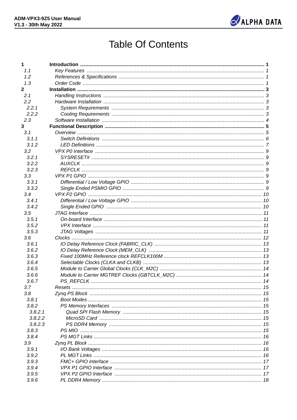

## **Table Of Contents**

| 1               |                                                                                                                                                                                                                                |    |
|-----------------|--------------------------------------------------------------------------------------------------------------------------------------------------------------------------------------------------------------------------------|----|
| 11              |                                                                                                                                                                                                                                |    |
| 12              |                                                                                                                                                                                                                                |    |
| 1.3             |                                                                                                                                                                                                                                |    |
| $\overline{2}$  |                                                                                                                                                                                                                                |    |
| 21              |                                                                                                                                                                                                                                |    |
| 22              |                                                                                                                                                                                                                                |    |
| 221             |                                                                                                                                                                                                                                |    |
| 222             |                                                                                                                                                                                                                                |    |
| 2.3             |                                                                                                                                                                                                                                |    |
| $\mathbf{3}$    |                                                                                                                                                                                                                                |    |
| 31              |                                                                                                                                                                                                                                |    |
| 311             |                                                                                                                                                                                                                                |    |
| 312             |                                                                                                                                                                                                                                |    |
| 32              |                                                                                                                                                                                                                                |    |
| 321             |                                                                                                                                                                                                                                |    |
| 322             |                                                                                                                                                                                                                                |    |
| 323             | REECHK 9                                                                                                                                                                                                                       |    |
| 33              |                                                                                                                                                                                                                                |    |
| 331             |                                                                                                                                                                                                                                |    |
| 332             |                                                                                                                                                                                                                                |    |
| 34              |                                                                                                                                                                                                                                |    |
| 341             |                                                                                                                                                                                                                                |    |
| 342             |                                                                                                                                                                                                                                |    |
| 35              |                                                                                                                                                                                                                                |    |
| 3.5.1           |                                                                                                                                                                                                                                |    |
| 352             |                                                                                                                                                                                                                                |    |
| 353             |                                                                                                                                                                                                                                |    |
| 36              |                                                                                                                                                                                                                                |    |
| 361             |                                                                                                                                                                                                                                |    |
| 362             |                                                                                                                                                                                                                                |    |
| 363             |                                                                                                                                                                                                                                |    |
| 364             |                                                                                                                                                                                                                                |    |
| 3.6.5           |                                                                                                                                                                                                                                |    |
| 366             |                                                                                                                                                                                                                                |    |
| 367             |                                                                                                                                                                                                                                |    |
| 37              | Resets the contract of the contract of the contract of the contract of the contract of the contract of the contract of the contract of the contract of the contract of the contract of the contract of the contract of the con |    |
| 38              |                                                                                                                                                                                                                                |    |
| 381<br>382      |                                                                                                                                                                                                                                |    |
|                 |                                                                                                                                                                                                                                |    |
| 3821<br>3.8.2.2 |                                                                                                                                                                                                                                |    |
| 3823            |                                                                                                                                                                                                                                |    |
| 383             |                                                                                                                                                                                                                                |    |
| 3.8.4           |                                                                                                                                                                                                                                |    |
| 39              |                                                                                                                                                                                                                                |    |
| 391             |                                                                                                                                                                                                                                |    |
| 392             |                                                                                                                                                                                                                                |    |
| 393             |                                                                                                                                                                                                                                |    |
| 394             |                                                                                                                                                                                                                                |    |
| 395             |                                                                                                                                                                                                                                |    |
| 396             | PL DDR4 Mamorv                                                                                                                                                                                                                 | 18 |
|                 |                                                                                                                                                                                                                                |    |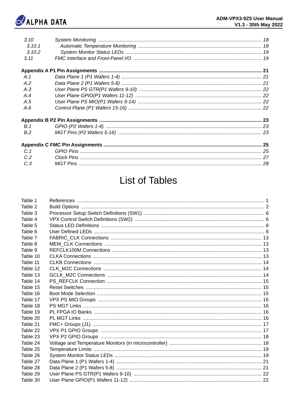

| 310            |                  |  |
|----------------|------------------|--|
| 3101           |                  |  |
| 3102           |                  |  |
| 311            |                  |  |
|                |                  |  |
| A1             |                  |  |
| A2             |                  |  |
| A.3            |                  |  |
| $A_4$          |                  |  |
| A 5            |                  |  |
| A6             |                  |  |
|                |                  |  |
| <b>B1</b>      |                  |  |
| B2             |                  |  |
|                |                  |  |
| C <sub>1</sub> |                  |  |
| C2             |                  |  |
| C.3            | $M$ GT Pins $28$ |  |

## List of Tables

| Table 1  |  |
|----------|--|
| Table 2  |  |
| Table 3  |  |
| Table 4  |  |
| Table 5  |  |
| Table 6  |  |
| Table 7  |  |
| Table 8  |  |
| Table 9  |  |
| Table 10 |  |
| Table 11 |  |
| Table 12 |  |
| Table 13 |  |
| Table 14 |  |
| Table 15 |  |
| Table 16 |  |
| Table 17 |  |
| Table 18 |  |
| Table 19 |  |
| Table 20 |  |
| Table 21 |  |
| Table 22 |  |
| Table 23 |  |
| Table 24 |  |
| Table 25 |  |
| Table 26 |  |
| Table 27 |  |
| Table 28 |  |
| Table 29 |  |
| Table 30 |  |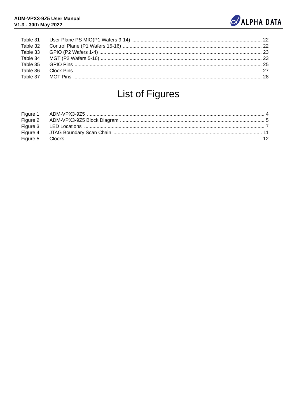

| Table 31 |    |
|----------|----|
| Table 32 |    |
| Table 33 |    |
| Table 34 |    |
| Table 35 | 25 |
| Table 36 |    |
| Table 37 |    |

## List of Figures

| Figure 1 |  |
|----------|--|
| Figure 2 |  |
| Figure 3 |  |
| Figure 4 |  |
| Figure 5 |  |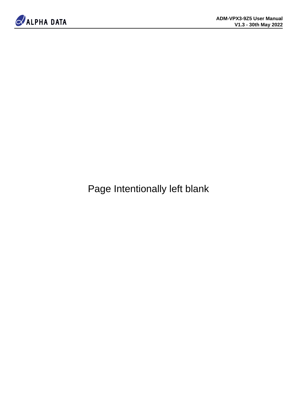

Page Intentionally left blank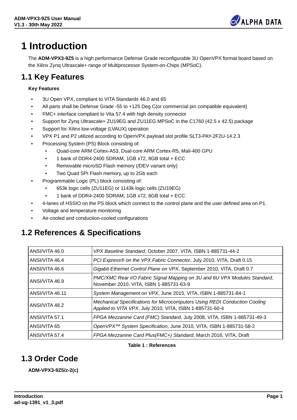

## <span id="page-6-1"></span><span id="page-6-0"></span>**1 Introduction**

The **ADM-VPX3-9Z5** is a high performance Defense Grade reconfigurable 3U OpenVPX format board based on the Xilinx Zynq Ultrascale+ range of Multiprocessor System-on-Chips (MPSoC).

## **1.1 Key Features**

#### **Key Features**

- 3U Open VPX, compliant to VITA Standards 46.0 and 65
- All parts shall be Defense Grade -55 to +125 Deg C(or commercial pin compatible equivalent)
- FMC+ interface compliant to Vita 57.4 with high density connector
- Support for Zynq Ultrascale+ ZU19EG and ZU11EG MPSoC in the C1760 (42.5 x 42.5) package
- Support for Xilinx low-voltage (LVAUX) operation
- VPX P1 and P2 utilized according to OpenVPX payload slot profile SLT3-PAY-2F2U-14.2.3
- Processing System (PS) Block consisting of:
	- Quad-core ARM Cortex-A53, Dual-core ARM Cortex-R5, Mali-400 GPU
	- 1 bank of DDR4-2400 SDRAM, 1GB x72, 8GB total + ECC
	- Removable microSD Flash memory (/DEV variant only)
	- Two Quad SPI Flash memory, up to 2Gb each
- Programmable Logic (PL) block consisting of:
	- 653k logic cells (ZU11EG) or 1143k logic cells (ZU19EG)
	- 1 bank of DDR4-2400 SDRAM, 1GB x72, 8GB total + ECC
- 4-lanes of HSSIO on the PS block which connect to the control plane and the user defined area on P1.
- Voltage and temperature monitoring
- Air-cooled and conduction-cooled configurations

### <span id="page-6-4"></span><span id="page-6-2"></span>**1.2 References & Specifications**

| ANSI/VITA 46.0  | VPX Baseline Standard, October 2007, VITA, ISBN 1-885731-44-2                                                                          |  |
|-----------------|----------------------------------------------------------------------------------------------------------------------------------------|--|
| ANSI/VITA 46 4  | PCI Express® on the VPX Fabric Connector, July 2010, VITA, Draft 0.15                                                                  |  |
| ANSI/VITA 46 6  | Gigabit Ethernet Control Plane on VPX, September 2010, VITA, Draft 0.7                                                                 |  |
| ANSI/VITA 46.9  | PMC/XMC Rear I/O Fabric Signal Mapping on 3U and 6U VPX Modules Standard.<br>November 2010, VITA, ISBN 1-885731-63-9                   |  |
| ANSI/VITA 46 11 | System Management on VPX, June 2015, VITA, ISBN 1-885731-84-1                                                                          |  |
| ANSI/VITA 48.2  | Mechanical Specifications for Microcomputers Using REDI Conduction Cooling<br>Applied to VITA VPX, July 2010, VITA, ISBN 1-885731-60-4 |  |
| ANSI/VITA 571   | FPGA Mezzanine Card (FMC) Standard, July 2008, VITA, ISBN 1-885731-49-3                                                                |  |
| ANSI/VITA 65    | OpenVPX <sup>7M</sup> System Specification, June 2010, VITA, ISBN 1-885731-58-2                                                        |  |
| ANSI/VITA 57.4  | FPGA Mezzanine Card Plus/FMC+) Standard, March 2016, VITA, Draft                                                                       |  |

**Table 1 : References**

## <span id="page-6-5"></span><span id="page-6-3"></span>**1.3 Order Code**

**ADM-VPX3-9Z5/z-2(c)**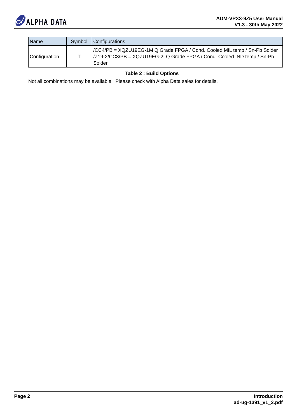

| Name          | Symbol | Configurations                                                                                                                                                   |  |
|---------------|--------|------------------------------------------------------------------------------------------------------------------------------------------------------------------|--|
| Configuration |        | I/CC4/PB = XQZU19EG-1M Q Grade FPGA / Cond. Cooled MIL temp / Sn-Pb Solder<br>/Z19-2/CC3/PB = XQZU19EG-2I Q Grade FPGA / Cond. Cooled IND temp / Sn-Pb<br>Solder |  |

#### **Table 2 : Build Options**

Not all combinations may be available. Please check with Alpha Data sales for details.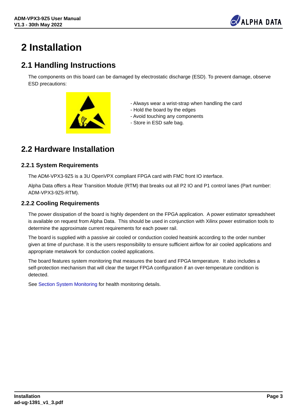

## <span id="page-8-1"></span><span id="page-8-0"></span>**2 Installation**

### **2.1 Handling Instructions**

The components on this board can be damaged by electrostatic discharge (ESD). To prevent damage, observe ESD precautions:



- Always wear a wrist-strap when handling the card
- Hold the board by the edges
- Avoid touching any components
- Store in ESD safe bag.

### <span id="page-8-3"></span><span id="page-8-2"></span>**2.2 Hardware Installation**

#### <span id="page-8-4"></span>**2.2.1 System Requirements**

The ADM-VPX3-9Z5 is a 3U OpenVPX compliant FPGA card with FMC front IO interface.

Alpha Data offers a Rear Transition Module (RTM) that breaks out all P2 IO and P1 control lanes (Part number: ADM-VPX3-9Z5-RTM).

#### **2.2.2 Cooling Requirements**

The power dissipation of the board is highly dependent on the FPGA application. A power estimator spreadsheet is available on request from Alpha Data. This should be used in conjunction with Xilinx power estimation tools to determine the approximate current requirements for each power rail.

The board is supplied with a passive air cooled or conduction cooled heatsink according to the order number given at time of purchase. It is the users responsibility to ensure sufficient airflow for air cooled applications and appropriate metalwork for conduction cooled applications.

The board features system monitoring that measures the board and FPGA temperature. It also includes a self-protection mechanism that will clear the target FPGA configuration if an over-temperature condition is detected.

See [Section System Monitoring](#page-23-1) for health monitoring details.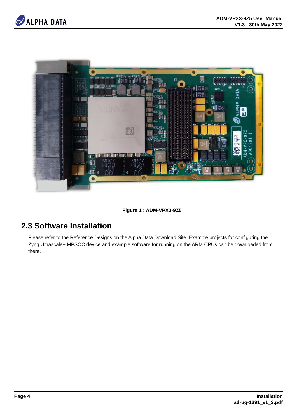<span id="page-9-1"></span>





## <span id="page-9-0"></span>**2.3 Software Installation**

Please refer to the Reference Designs on the Alpha Data Download Site. Example projects for configuring the Zynq Ultrascale+ MPSOC device and example software for running on the ARM CPUs can be downloaded from there.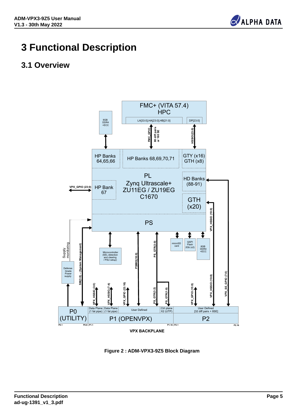

## <span id="page-10-1"></span><span id="page-10-0"></span>**3 Functional Description**

## <span id="page-10-2"></span>**3.1 Overview**



**VPX BACKPLANE**

**Figure 2 : ADM-VPX3-9Z5 Block Diagram**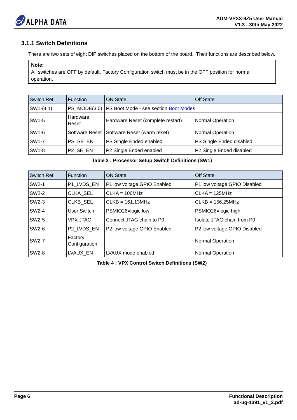<span id="page-11-0"></span>

#### **3.1.1 Switch Definitions**

There are two sets of eight DIP switches placed on the bottom of the board. Their functions are described below.

#### **Note:**

<span id="page-11-1"></span>All switches are OFF by default. Factory Configuration switch must be in the OFF position for normal operation.

| Switch Ref.       | <b>Function</b>   | ON State                                           | Off State                |
|-------------------|-------------------|----------------------------------------------------|--------------------------|
| SW1-(4:1)         |                   | PS MODE(3:0) PS Boot Mode - see section Boot Modes |                          |
| SW <sub>1-5</sub> | Hardware<br>Reset | Hardware Reset (complete restart)                  | Normal Operation         |
| SW <sub>1-6</sub> |                   | Software Reset Software Reset (warm reset)         | Normal Operation         |
| SW1-7             | PS SE EN          | PS Single Ended enabled                            | PS Single Ended disabled |
| SW <sub>1-8</sub> | P2 SE EN          | P2 Single Ended enabled                            | P2 Single Ended disabled |

**Table 3 : Processor Setup Switch Definitions (SW1)**

<span id="page-11-2"></span>

| Switch Ref. | Function                 | ON State                    | Off State                    |
|-------------|--------------------------|-----------------------------|------------------------------|
| SW2-1       | P1 LVDS EN               | P1 low voltage GPIO Enabled | P1 low voltage GPIO Disabled |
| SW2-2       | CLKA SEL                 | $CLKA = 100MHz$             | $CLKA = 125MHz$              |
| SW2-3       | CLKB SEL                 | $CI$ KB = 161 13MHz         | $CLKB = 156.25MHz$           |
| SW2-4       | <b>User Switch</b>       | PSMIO26=logic low           | PSMIO26=logic high           |
| SW2-5       | <b>VPX JTAG</b>          | Connect JTAG chain to P0    | Isolate JTAG chain from P0   |
| $SW2-6$     | P2 LVDS EN               | P2 low voltage GPIO Enabled | P2 low voltage GPIO Disabled |
| SW2-7       | Factory<br>Configuration |                             | Normal Operation             |
| SW2-8       | LVAUX EN                 | LVAUX mode enabled          | Normal Operation             |

**Table 4 : VPX Control Switch Definitions (SW2)**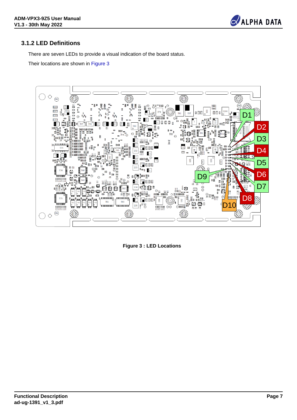

#### <span id="page-12-0"></span>**3.1.2 LED Definitions**

There are seven LEDs to provide a visual indication of the board status.

Their locations are shown in [Figure 3](#page-12-1)

<span id="page-12-1"></span>

**Figure 3 : LED Locations**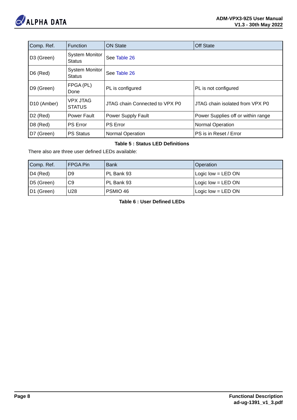<span id="page-13-0"></span>

| Comp. Ref.             | <b>Function</b>                 | ON State                       | Off State                          |
|------------------------|---------------------------------|--------------------------------|------------------------------------|
| D <sub>3</sub> (Green) | System Monitor<br><b>Status</b> | See Table 26                   |                                    |
| D6 (Red)               | System Monitor<br><b>Status</b> | See Table 26                   |                                    |
| D9 (Green)             | FPGA (PL)<br>Done               | PL is configured               | PL is not configured               |
| D10 (Amber)            | VPX JTAG<br><b>STATUS</b>       | JTAG chain Connected to VPX P0 | JTAG chain isolated from VPX P0    |
| D <sub>2</sub> (Red)   | Power Fault                     | Power Supply Fault             | Power Supplies off or within range |
| D8 (Red)               | PS Frron                        | PS Frron                       | Normal Operation                   |
| D7 (Green)             | <b>PS Status</b>                | Normal Operation               | PS is in Reset / Error             |

**Table 5 : Status LED Definitions**

<span id="page-13-1"></span>There also are three user defined LEDs available:

| Comp. Ref.           | <b>FPGA Pin</b> | <b>Rank</b> | Operation          |
|----------------------|-----------------|-------------|--------------------|
| D <sub>4</sub> (Red) | D <sub>9</sub>  | PI Bank 93  | Logic low = LED ON |
| D5 (Green)           | C <sub>9</sub>  | PL Bank 93  | Logic low = LED ON |
| D1 (Green)           | U <sub>28</sub> | PSMIO 46    | Logic low = LED ON |

**Table 6 : User Defined LEDs**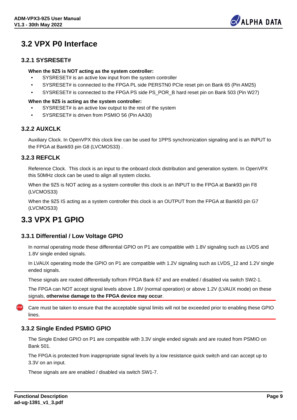

### <span id="page-14-1"></span><span id="page-14-0"></span>**3.2 VPX P0 Interface**

#### **3.2.1 SYSRESET#**

#### **When the 9Z5 is NOT acting as the system controller:**

- SYSRESET# is an active low input from the system controller
- SYSRESET# is connected to the FPGA PL side PERSTN0 PCIe reset pin on Bank 65 (Pin AM25)
- SYSRESET# is connected to the FPGA PS side PS\_POR\_B hard reset pin on Bank 503 (Pin W27)

## **When the 9Z5 is acting as the system controller:**

- SYSRESET# is an active low output to the rest of the system
- SYSRESET# is driven from PSMIO 56 (Pin AA30)

#### <span id="page-14-3"></span><span id="page-14-2"></span>**3.2.2 AUXCLK**

Auxiliary Clock. In OpenVPX this clock line can be used for 1PPS synchronization signaling and is an INPUT to the FPGA at Bank93 pin G8 (LVCMOS33) .

#### **3.2.3 REFCLK**

Reference Clock. This clock is an input to the onboard clock distribution and generation system. In OpenVPX this 50MHz clock can be used to align all system clocks.

When the 9Z5 is NOT acting as a system controller this clock is an INPUT to the FPGA at Bank93 pin F8 (LVCMOS33)

<span id="page-14-4"></span>When the 9Z5 IS acting as a system controller this clock is an OUTPUT from the FPGA at Bank93 pin G7 (LVCMOS33)

### <span id="page-14-5"></span>**3.3 VPX P1 GPIO**

#### **3.3.1 Differential / Low Voltage GPIO**

In normal operating mode these differential GPIO on P1 are compatible with 1.8V signaling such as LVDS and 1.8V single ended signals.

In LVAUX operating mode the GPIO on P1 are compatible with 1.2V signaling such as LVDS\_12 and 1.2V single ended signals.

These signals are routed differentially to/from FPGA Bank 67 and are enabled / disabled via switch SW2-1.

The FPGA can NOT accept signal levels above 1.8V (normal operation) or above 1.2V (LVAUX mode) on these signals, **otherwise damage to the FPGA device may occur**.

<span id="page-14-6"></span>**STOP** Care must be taken to ensure that the acceptable signal limits will not be exceeded prior to enabling these GPIO lines.

#### **3.3.2 Single Ended PSMIO GPIO**

The Single Ended GPIO on P1 are compatible with 3.3V single ended signals and are routed from PSMIO on Bank 501.

The FPGA is protected from inappropriate signal levels by a low resistance quick switch and can accept up to 3.3V on an input.

These signals are are enabled / disabled via switch SW1-7.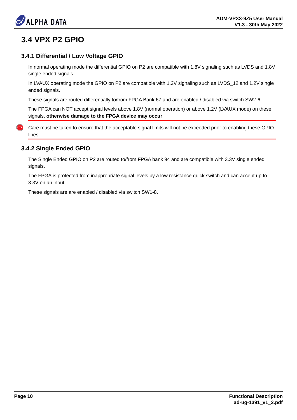<span id="page-15-0"></span>

## <span id="page-15-1"></span>**3.4 VPX P2 GPIO**

#### **3.4.1 Differential / Low Voltage GPIO**

In normal operating mode the differential GPIO on P2 are compatible with 1.8V signaling such as LVDS and 1.8V single ended signals.

In LVAUX operating mode the GPIO on P2 are compatible with 1.2V signaling such as LVDS\_12 and 1.2V single ended signals.

These signals are routed differentially to/from FPGA Bank 67 and are enabled / disabled via switch SW2-6.

The FPGA can NOT accept signal levels above 1.8V (normal operation) or above 1.2V (LVAUX mode) on these signals, **otherwise damage to the FPGA device may occur**.

<span id="page-15-2"></span>**STOP** Care must be taken to ensure that the acceptable signal limits will not be exceeded prior to enabling these GPIO lines.

#### **3.4.2 Single Ended GPIO**

The Single Ended GPIO on P2 are routed to/from FPGA bank 94 and are compatible with 3.3V single ended signals.

The FPGA is protected from inappropriate signal levels by a low resistance quick switch and can accept up to 3.3V on an input.

These signals are are enabled / disabled via switch SW1-8.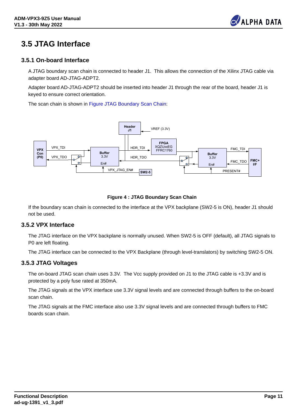

## <span id="page-16-1"></span><span id="page-16-0"></span>**3.5 JTAG Interface**

#### **3.5.1 On-board Interface**

A JTAG boundary scan chain is connected to header J1. This allows the connection of the Xilinx JTAG cable via adapter board AD-JTAG-ADPT2.

Adapter board AD-JTAG-ADPT2 should be inserted into header J1 through the rear of the board, header J1 is keyed to ensure correct orientation.

The scan chain is shown in [Figure JTAG Boundary Scan Chain:](#page-16-4)

<span id="page-16-4"></span>

#### **Figure 4 : JTAG Boundary Scan Chain**

<span id="page-16-2"></span>If the boundary scan chain is connected to the interface at the VPX backplane (SW2-5 is ON), header J1 should not be used.

#### <span id="page-16-3"></span>**3.5.2 VPX Interface**

The JTAG interface on the VPX backplane is normally unused. When SW2-5 is OFF (default), all JTAG signals to P0 are left floating.

The JTAG interface can be connected to the VPX Backplane (through level-translators) by switching SW2-5 ON.

#### **3.5.3 JTAG Voltages**

The on-board JTAG scan chain uses 3.3V. The Vcc supply provided on J1 to the JTAG cable is +3.3V and is protected by a poly fuse rated at 350mA.

The JTAG signals at the VPX interface use 3.3V signal levels and are connected through buffers to the on-board scan chain.

The JTAG signals at the FMC interface also use 3.3V signal levels and are connected through buffers to FMC boards scan chain.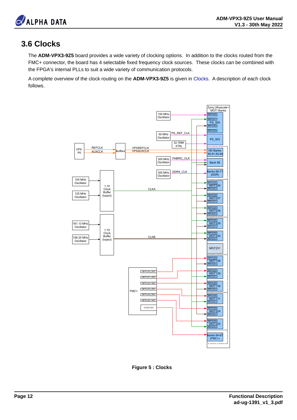<span id="page-17-0"></span>

## **3.6 Clocks**

The **ADM-VPX3-9Z5** board provides a wide variety of clocking options. In addition to the clocks routed from the FMC+ connector, the board has 4 selectable fixed frequency clock sources. These clocks can be combined with the FPGA's internal PLLs to suit a wide variety of communication protocols.

<span id="page-17-1"></span>A complete overview of the clock routing on the **ADM-VPX3-9Z5** is given in [Clocks](#page-17-1). A description of each clock follows.



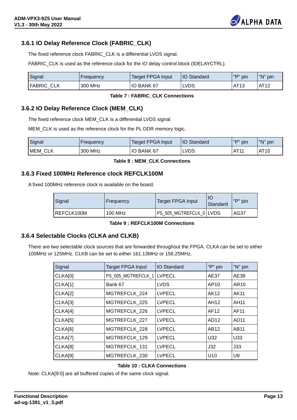

#### <span id="page-18-4"></span><span id="page-18-0"></span>**3.6.1 IO Delay Reference Clock (FABRIC\_CLK)**

The fixed reference clock FABRIC\_CLK is a differential LVDS signal.

FABRIC\_CLK is used as the reference clock for the IO delay control block (IDELAYCTRL).

| Signal            | Frequency | Target FPGA Input | <b>IO</b> Standard | I"P" pin         | "N" pin          |
|-------------------|-----------|-------------------|--------------------|------------------|------------------|
| <b>FABRIC CLK</b> | 300 MHz   | IO BANK 67        | LVDS               | AT <sub>13</sub> | AT <sub>12</sub> |

#### **Table 7 : FABRIC\_CLK Connections**

#### <span id="page-18-5"></span><span id="page-18-1"></span>**3.6.2 IO Delay Reference Clock (MEM\_CLK)**

The fixed reference clock MEM\_CLK is a differential LVDS signal.

MEM\_CLK is used as the reference clock for the PL DDR memory logic.

| Signal  | Frequency | Target FPGA Input | <b>IO</b> Standard | "P" pin | "N" pin          |
|---------|-----------|-------------------|--------------------|---------|------------------|
| MEM CLK | 300 MHz   | IO BANK 67        | LVDS               | AT11    | AT <sub>10</sub> |

#### **Table 8 : MEM\_CLK Connections**

#### <span id="page-18-6"></span><span id="page-18-2"></span>**3.6.3 Fixed 100MHz Reference clock REFCLK100M**

A fixed 100MHz reference clock is available on the board.

| Signal     | Frequency | Target FPGA Input       | <b>IC</b><br>Standard | "P" pin |
|------------|-----------|-------------------------|-----------------------|---------|
| REFCLK100M | 100 MHz   | PS 505 MGTREFCLK 0 LVDS |                       | AG37    |

**Table 9 : REFCLK100M Connections**

#### <span id="page-18-7"></span><span id="page-18-3"></span>**3.6.4 Selectable Clocks (CLKA and CLKB)**

There are two selectable clock sources that are forwarded throughout the FPGA. CLKA can be set to either 100MHz or 125MHz. CLKB can be set to either 161.13MHz or 156.25MHz.

| Signal  | <b>Target FPGA Input</b> | IO Standard    | "P" pin          | "N" pin          |
|---------|--------------------------|----------------|------------------|------------------|
| CLKA[0] | PS 505 MGTREFCLK 1       | <b>IVPECI</b>  | AE37             | AE38             |
| CLKA[1] | Rank 67                  | LVDS           | AP10             | AR10             |
| CLKA[2] | MGTREFCLK 224            | <b>I VPECI</b> | AK12             | AK11             |
| CLKA[3] | MGTREFCLK 225            | LVPECL         | AH12             | AH11             |
| CLKA[4] | MGTREFCLK 226            | <b>I VPECI</b> | AF12             | AF11             |
| CLKA[5] | MGTREFCLK 227            | <b>IVPECI</b>  | AD <sub>12</sub> | AD <sub>11</sub> |
| CLKA[6] | MGTREFCLK 228            | <b>I VPECI</b> | AB12             | AB11             |
| CLKA[7] | MGTREFCLK 129            | <b>I VPECI</b> | 1132             | U33              |
| CLKA[8] | MGTREFCLK 131            | <b>IVPECI</b>  | J32              | <b>J33</b>       |
| CLKA[9] | MGTREFCLK 230            | <b>I VPECI</b> | U10              | U9               |

#### **Table 10 : CLKA Connections**

<span id="page-18-8"></span>Note: CLKA[9:0] are all buffered copies of the same clock signal.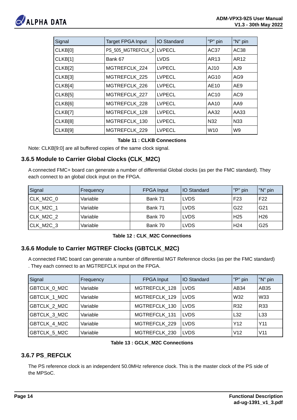| Signal  | <b>Target FPGA Input</b>  | <b>IO</b> Standard | "P" pin | "N" pin    |
|---------|---------------------------|--------------------|---------|------------|
| CLKB[0] | PS 505 MGTREFCLK 2 LVPECL |                    | AC37    | AC38       |
| CLKB[1] | Rank 67                   | <b>IVDS</b>        | AR13    | AR12       |
| CLKB[2] | MGTREFCLK 224             | <b>LVPECL</b>      | AJ10    | AJ9        |
| CLKB[3] | MGTREFCLK 225             | LVPECL             | AG10    | AG9        |
| CLKB[4] | MGTREFCLK 226             | <b>I VPECI</b>     | AE10    | AE9        |
| CLKB[5] | MGTREFCLK 227             | <b>IVPECI</b>      | AC10    | AC9        |
| CLKB[6] | MGTREFCLK 228             | <b>I VPECI</b>     | AA10    | AA9        |
| CLKB[7] | MGTREFCLK 128             | <b>IVPECI</b>      | AA32    | AA33       |
| CLKB[8] | MGTREFCLK 130             | <b>IVPECI</b>      | N32     | <b>N33</b> |
| CLKB[9] | MGTREFCLK 229             | LVPECL             | W10     | W9         |

#### **Table 11 : CLKB Connections**

<span id="page-19-0"></span>Note: CLKB[9:0] are all buffered copies of the same clock signal.

#### <span id="page-19-3"></span>**3.6.5 Module to Carrier Global Clocks (CLK\_M2C)**

A connected FMC+ board can generate a number of differential Global clocks (as per the FMC standard). They each connect to an global clock input on the FPGA.

| Signal    | Frequency | <b>FPGA</b> Input | <b>IO Standard</b> | "P" pin         | "N" pin         |
|-----------|-----------|-------------------|--------------------|-----------------|-----------------|
| CLK M2C 0 | Variable  | Rank 71           | <b>IVDS</b>        | F23             | F22             |
| CLK M2C 1 | Variable  | Rank 71           | <b>IVDS</b>        | G22             | G21             |
| CLK M2C 2 | Variable  | Bank 70           | <b>IVDS</b>        | H <sub>25</sub> | H <sub>26</sub> |
| CLK M2C 3 | Variable  | Bank 70           | LVDS               | H <sub>24</sub> | G <sub>25</sub> |

**Table 12 : CLK\_M2C Connections**

#### <span id="page-19-4"></span><span id="page-19-1"></span>**3.6.6 Module to Carrier MGTREF Clocks (GBTCLK\_M2C)**

A connected FMC board can generate a number of differential MGT Reference clocks (as per the FMC standard) . They each connect to an MGTREFCLK input on the FPGA.

| Signal       | Frequency | <b>FPGA</b> Input | IO Standard | "P" pin         | "N" pin         |
|--------------|-----------|-------------------|-------------|-----------------|-----------------|
| GBTCLK 0 M2C | Variable  | MGTREFCLK 128     | <b>IVDS</b> | AB34            | AB35            |
| GBTCLK 1 M2C | Variable  | MGTREFCLK 129     | <b>IVDS</b> | W32             | W33             |
| GBTCLK 2 M2C | Variable  | MGTREFCLK 130     | <b>IVDS</b> | R32             | R33             |
| GBTCLK 3 M2C | Variable  | MGTREFCLK 131     | <b>IVDS</b> | L32             | L33             |
| GBTCLK 4 M2C | Variable  | MGTREFCLK 229     | <b>IVDS</b> | Y12             | Y <sub>11</sub> |
| GBTCLK 5 M2C | Variable  | MGTREFCLK 230     | <b>IVDS</b> | V <sub>12</sub> | V <sub>11</sub> |

#### **Table 13 : GCLK\_M2C Connections**

#### <span id="page-19-5"></span><span id="page-19-2"></span>**3.6.7 PS\_REFCLK**

The PS reference clock is an independent 50.0MHz reference clock. This is the master clock of the PS side of the MPSoC.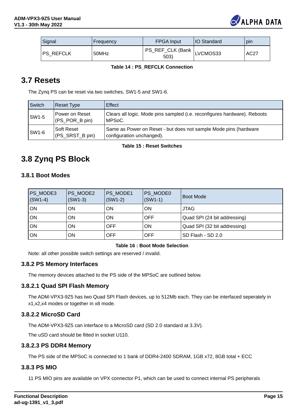

| Signal           | Frequency | <b>FPGA</b> Input                  | <b>IO</b> Standard | i pin        |
|------------------|-----------|------------------------------------|--------------------|--------------|
| <b>PS REFCLK</b> | 50MHz     | PS_REF_CLK (Bank  LVCMOS33<br>503) |                    | <b>IAC27</b> |

**Table 14 : PS\_REFCLK Connection**

### <span id="page-20-8"></span><span id="page-20-0"></span>**3.7 Resets**

The Zynq PS can be reset via two switches, SW1-5 and SW1-6.

| Switch            | <b>Reset Type</b>                | <b>Fffect</b>                                                                                 |
|-------------------|----------------------------------|-----------------------------------------------------------------------------------------------|
| SW <sub>1-5</sub> | Power on Reset<br>(PS POR B pin) | Clears all logic. Mode pins sampled (i.e. reconfigures hardware). Reboots<br>MPSoC.           |
| SW <sub>1-6</sub> | Soft Reset<br>(PS_SRST_B pin)    | Same as Power on Reset - but does not sample Mode pins (hardware<br>configuration unchanged). |

**Table 15 : Reset Switches**

## <span id="page-20-2"></span><span id="page-20-1"></span>**3.8 Zynq PS Block**

#### <span id="page-20-9"></span>**3.8.1 Boot Modes**

| PS MODE3<br>$(SW1-4)$ | PS MODE2<br>$(SW1-3)$ | PS MODE1<br>$(SW1-2)$ | <b>PS MODE0</b><br>$(SW1-1)$ | <b>Boot Mode</b>             |
|-----------------------|-----------------------|-----------------------|------------------------------|------------------------------|
| lon                   | ON                    | ON                    | ON                           | <b>JTAG</b>                  |
| <b>ON</b>             | ON                    | ON                    | OFF                          | Quad SPI (24 bit addressing) |
| ION                   | ON                    | OFF                   | ON                           | Quad SPI (32 bit addressing) |
| ON                    | ON                    | OFF                   | OFF                          | SD Flash - SD 2.0            |

**Table 16 : Boot Mode Selection**

<span id="page-20-3"></span>Note: all other possible switch settings are reserved / invalid.

#### <span id="page-20-4"></span>**3.8.2 PS Memory Interfaces**

The memory devices attached to the PS side of the MPSoC are outlined below.

#### <span id="page-20-5"></span>**3.8.2.1 Quad SPI Flash Memory**

The ADM-VPX3-9Z5 has two Quad SPI Flash devices, up to 512Mb each. They can be interfaced seperately in x1,x2,x4 modes or together in x8 mode.

#### <span id="page-20-6"></span>**3.8.2.2 MicroSD Card**

The ADM-VPX3-9Z5 can interface to a MicroSD card (SD 2.0 standard at 3.3V).

The uSD card should be fitted in socket U110.

#### <span id="page-20-7"></span>**3.8.2.3 PS DDR4 Memory**

The PS side of the MPSoC is connected to 1 bank of DDR4-2400 SDRAM, 1GB x72, 8GB total + ECC

#### **3.8.3 PS MIO**

11 PS MIO pins are available on VPX connector P1, which can be used to connect internal PS peripherals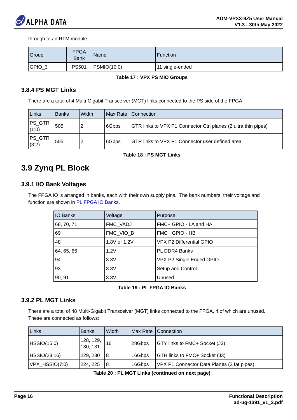<span id="page-21-4"></span>

through to an RTM module.

| Group             | <b>FPGA</b><br>Bank | Name        | Function        |
|-------------------|---------------------|-------------|-----------------|
| GPIO <sub>3</sub> | PS501               | PSMIO(10:0) | 11 single-ended |

#### **Table 17 : VPX PS MIO Groups**

#### <span id="page-21-5"></span><span id="page-21-0"></span>**3.8.4 PS MGT Links**

There are a total of 4 Multi-Gigabit Transceiver (MGT) links connected to the PS side of the FPGA:

| Links                  | <b>Banks</b> | <b>Width</b> |       | Max Rate Connection                                            |
|------------------------|--------------|--------------|-------|----------------------------------------------------------------|
| <b>PS GTR</b><br>(1:0) | 505          |              | 6Gbps | GTR links to VPX P1 Connector Ctrl planes (2 ultra thin pipes) |
| <b>PS GTR</b><br>(3:2) | 505          |              | 6Gbps | GTR links to VPX P1 Connector user defined area                |

#### **Table 18 : PS MGT Links**

## <span id="page-21-2"></span><span id="page-21-1"></span>**3.9 Zynq PL Block**

#### <span id="page-21-6"></span>**3.9.1 I/O Bank Voltages**

The FPGA IO is arranged in banks, each with their own supply pins. The bank numbers, their voltage and function are shown in [PL FPGA IO Banks.](#page-21-6)

| IO Banks   | Voltage      | Purpose                  |
|------------|--------------|--------------------------|
| 68.70.71   | FMC VADJ     | FMC+ GPIO - LA and HA    |
| 69         | FMC VIO B    | FMC+ GPIO - HB           |
| 48         | 1.8V or 1.2V | VPX P2 Differential GPIO |
| 64, 65, 66 | 12V          | PI DDR4 Banks            |
| 94         | 3.3V         | VPX P2 Single Ended GPIO |
| 93         | 3.3V         | Setup and Control        |
| 90.91      | 3.3V         | Unused                   |

#### **Table 19 : PL FPGA IO Banks**

#### <span id="page-21-7"></span><span id="page-21-3"></span>**3.9.2 PL MGT Links**

There are a total of 48 Multi-Gigabit Transceiver (MGT) links connected to the FPGA, 4 of which are unused. These are connected as follows:

| Links          | Banks                 | Width |        | Max Rate Connection                        |  |  |
|----------------|-----------------------|-------|--------|--------------------------------------------|--|--|
| HSSIO(15:0)    | 128, 129.<br>130, 131 | 16    | 28Gbps | GTY links to FMC+ Socket (J3)              |  |  |
| HSSIO(23:16)   | 229, 230              | 18    | 16Gbps | GTH links to FMC+ Socket (J3)              |  |  |
| VPX HSSIO(7:0) | 224.225               | 18    | 16Gbps | VPX P1 Connector Data Planes (2 fat pipes) |  |  |

**Table 20 : PL MGT Links (continued on next page)**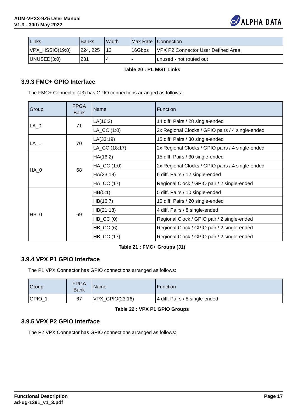

| Links                  | Banks    | <b>Width</b> |        | Max Rate Connection                 |
|------------------------|----------|--------------|--------|-------------------------------------|
| <b>VPX HSSIO(19:8)</b> | 224, 225 | 112          | 16Ghns | IVPX P2 Connector User Defined Area |
| UNUSED(3:0)            | 231      |              |        | unused - not routed out             |

#### **Table 20 : PL MGT Links**

#### <span id="page-22-3"></span><span id="page-22-0"></span>**3.9.3 FMC+ GPIO Interface**

The FMC+ Connector (J3) has GPIO connections arranged as follows:

| Group           | <b>FPGA</b><br><b>Bank</b> | Name              | Function                                         |  |  |
|-----------------|----------------------------|-------------------|--------------------------------------------------|--|--|
| ILA 0           | 71                         | LA(16:2)          | 14 diff. Pairs / 28 single-ended                 |  |  |
|                 |                            | LA_CC (1:0)       | 2x Regional Clocks / GPIO pairs / 4 single-ended |  |  |
| LA <sub>1</sub> | 70                         | LA(33:19)         | 15 diff. Pairs / 30 single-ended                 |  |  |
|                 |                            | LA_CC (18:17)     | 2x Regional Clocks / GPIO pairs / 4 single-ended |  |  |
|                 |                            | HA(16:2)          | 15 diff. Pairs / 30 single-ended                 |  |  |
|                 | 68                         | HA_CC (1:0)       | 2x Regional Clocks / GPIO pairs / 4 single-ended |  |  |
| HA_0            |                            | HA(23:18)         | 6 diff. Pairs / 12 single-ended                  |  |  |
|                 |                            | HA_CC (17)        | Regional Clock / GPIO pair / 2 single-ended      |  |  |
|                 |                            | HB(5:1)           | 5 diff. Pairs / 10 single-ended                  |  |  |
|                 |                            | HB(16:7)          | 10 diff. Pairs / 20 single-ended                 |  |  |
| HB <sub>0</sub> | 69                         | HB(21:18)         | 4 diff. Pairs / 8 single-ended                   |  |  |
|                 |                            | <b>HB CC (0)</b>  | Regional Clock / GPIO pair / 2 single-ended      |  |  |
|                 |                            | <b>HB_CC</b> (6)  | Regional Clock / GPIO pair / 2 single-ended      |  |  |
|                 |                            | <b>HB_CC</b> (17) | Regional Clock / GPIO pair / 2 single-ended      |  |  |

**Table 21 : FMC+ Groups (J1)**

#### <span id="page-22-4"></span><span id="page-22-1"></span>**3.9.4 VPX P1 GPIO Interface**

The P1 VPX Connector has GPIO connections arranged as follows:

| Group  | <b>FPGA</b><br>Bank | Name            | Function                       |  |  |
|--------|---------------------|-----------------|--------------------------------|--|--|
| GPIO 1 | 67                  | VPX GPIO(23:16) | 4 diff. Pairs / 8 single-ended |  |  |

**Table 22 : VPX P1 GPIO Groups**

#### <span id="page-22-5"></span><span id="page-22-2"></span>**3.9.5 VPX P2 GPIO Interface**

The P2 VPX Connector has GPIO connections arranged as follows: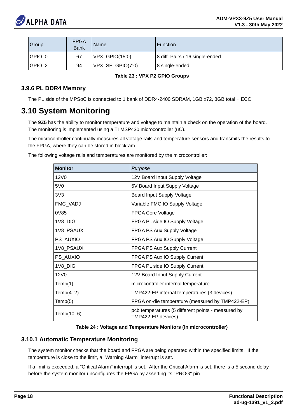

| Group             | <b>FPGA</b><br>Bank | Name             | Function                        |
|-------------------|---------------------|------------------|---------------------------------|
| GPIO 0            | 67                  | IVPX GPIO(15:0)  | 8 diff. Pairs / 16 single-ended |
| GPIO <sub>2</sub> | 94                  | VPX SE GPIO(7:0) | 8 single-ended                  |

**Table 23 : VPX P2 GPIO Groups**

#### <span id="page-23-1"></span><span id="page-23-0"></span>**3.9.6 PL DDR4 Memory**

The PL side of the MPSoC is connected to 1 bank of DDR4-2400 SDRAM, 1GB x72, 8GB total + ECC

### **3.10 System Monitoring**

The **9Z5** has the ability to monitor temperature and voltage to maintain a check on the operation of the board. The monitoring is implemented using a TI MSP430 microcontroller (uC).

<span id="page-23-3"></span>The microcontroller continually measures all voltage rails and temperature sensors and transmits the results to the FPGA, where they can be stored in blockram.

| <b>Monitor</b>    | Purpose                                                                  |
|-------------------|--------------------------------------------------------------------------|
| 12V0              | 12V Board Input Supply Voltage                                           |
| 5V0               | 5V Board Input Supply Voltage                                            |
| 3V3               | Board Input Supply Voltage                                               |
| FMC VADJ          | Variable FMC IO Supply Voltage                                           |
| 0 <sub>V</sub> 85 | FPGA Core Voltage                                                        |
| 1V8 DIG           | FPGA PL side IO Supply Voltage                                           |
| 1V8 PSAUX         | FPGA PS Aux Supply Voltage                                               |
| PS AUXIO          | FPGA PS Aux IO Supply Voltage                                            |
| 1V8 PSAUX         | FPGA PS Aux Supply Current                                               |
| PS AUXIO          | FPGA PS Aux IO Supply Current                                            |
| 1V8 DIG           | FPGA PL side IO Supply Current                                           |
| 12V0              | 12V Board Input Supply Current                                           |
| Temp(1)           | microcontroller internal temperature                                     |
| Temp $(4.2)$      | TMP422-EP internal temperatures (3 devices)                              |
| Temp(5)           | FPGA on-die temperature (measured by TMP422-EP)                          |
| Temp(106)         | pcb temperatures (5 different points - measured by<br>TMP422-EP devices) |

The following voltage rails and temperatures are monitored by the microcontroller:

**Table 24 : Voltage and Temperature Monitors (in microcontroller)**

#### <span id="page-23-2"></span>**3.10.1 Automatic Temperature Monitoring**

The system monitor checks that the board and FPGA are being operated within the specified limits. If the temperature is close to the limit, a "Warning Alarm" interrupt is set.

If a limit is exceeded, a "Critical Alarm" interrupt is set. After the Critical Alarm is set, there is a 5 second delay before the system monitor unconfigures the FPGA by asserting its "PROG" pin.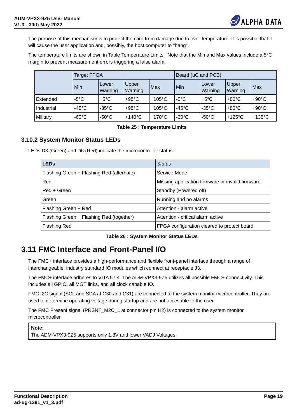

The purpose of this mechanism is to protect the card from damage due to over-temperature. It is possible that it will cause the user application and, possibly, the host computer to "hang".

<span id="page-24-2"></span>The temperature limits are shown in Table Temperature Limits. Note that the Min and Max values include a 5°C margin to prevent measurement errors triggering a false alarm.

|            | <b>Target FPGA</b> |                   |                  |                  | Board (uC and PCB) |                   |                         |                 |  |
|------------|--------------------|-------------------|------------------|------------------|--------------------|-------------------|-------------------------|-----------------|--|
|            | Min                | I ower<br>Warning | Upper<br>Warning | Max              | Min                | I ower<br>Warning | Upper<br><b>Warning</b> | Max             |  |
| Extended   | $-5^{\circ}$ C     | $+5^{\circ}$ C    | $+95^{\circ}$ C  | $+105^{\circ}$ C | $-5^{\circ}$ C     | $1+5^{\circ}$ C   | $+80^{\circ}$ C         | $+90^{\circ}$ C |  |
| Industrial | $-45^{\circ}$ C    | $-35^{\circ}$ C   | $+95^{\circ}$ C  | $+105^{\circ}$ C | $-45^{\circ}$ C    | $-35^{\circ}$ C   | $+80^{\circ}$ C         | $+90^{\circ}$ C |  |
| Military   | -60°C              | -50°C             | +140°C           | +170°C           | $-60^{\circ}$ C    | $-50^{\circ}$ C   | $+125^{\circ}$ C        | +135°C          |  |

**Table 25 : Temperature Limits**

#### <span id="page-24-3"></span><span id="page-24-0"></span>**3.10.2 System Monitor Status LEDs**

LEDs D3 (Green) and D6 (Red) indicate the microcontroller status.

| LEDS                                      | <b>Status</b>                                    |  |  |
|-------------------------------------------|--------------------------------------------------|--|--|
| Flashing Green + Flashing Red (alternate) | Service Mode                                     |  |  |
| Red                                       | Missing application firmware or invalid firmware |  |  |
| Red + Green                               | Standby (Powered off)                            |  |  |
| Green                                     | Running and no alarms                            |  |  |
| Flashing Green + Red                      | Attention - alarm active                         |  |  |
| Flashing Green + Flashing Red (together)  | Attention - critical alarm active                |  |  |
| Flashing Red                              | FPGA configuration cleared to protect board      |  |  |

**Table 26 : System Monitor Status LEDs**

## <span id="page-24-1"></span>**3.11 FMC Interface and Front-Panel I/O**

The FMC+ interface provides a high-performance and flexible front-panel interface through a range of interchangeable, industry standard IO modules which connect at receptacle J3.

The FMC+ interface adheres to VITA 57.4. The ADM-VPX3-9Z5 utilizes all possible FMC+ connectivity. This includes all GPIO, all MGT links, and all clock capable IO.

FMC I2C signal (SCL and SDA at C30 and C31) are connected to the system monitor microcontroller. They are used to determine operating voltage during startup and are not accesable to the user.

The FMC Present signal (PRSNT\_M2C\_L at connector pin H2) is connected to the system monitor microcontroller.

**Note:** 

The ADM-VPX3-9Z5 supports only 1.8V and lower VADJ Voltages.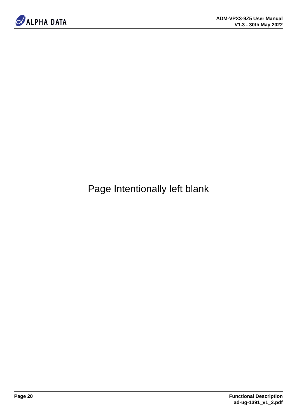

Page Intentionally left blank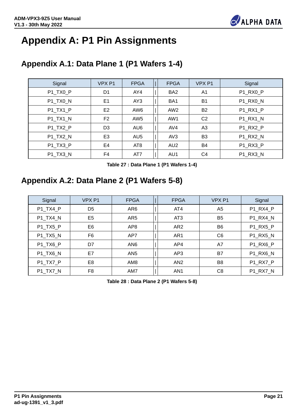

## <span id="page-26-0"></span>**Appendix A: P1 Pin Assignments**

| Signal   | VPX P1         | <b>FPGA</b>     | <b>FPGA</b>     | VPX P1         | Signal          |
|----------|----------------|-----------------|-----------------|----------------|-----------------|
| P1 TX0 P | D <sub>1</sub> | AY4             | BA <sub>2</sub> | A1             | P1 RX0 P        |
| P1 TX0 N | E <sub>1</sub> | AY3             | BA1             | <b>B1</b>      | P1 RX0 N        |
| P1 TX1 P | E <sub>2</sub> | AW6             | AW2             | <b>B2</b>      | <b>P1 RX1 P</b> |
| P1 TX1 N | F <sub>2</sub> | AW5             | AW1             | C <sub>2</sub> | <b>P1 RX1 N</b> |
| P1 TX2 P | D <sub>3</sub> | AU6             | AV4             | A3             | P1 RX2 P        |
| P1 TX2 N | E <sub>3</sub> | AU <sub>5</sub> | AV3             | B <sub>3</sub> | P1 RX2 N        |
| P1 TX3 P | E <sub>4</sub> | AT8             | AU <sub>2</sub> | <b>B4</b>      | P1 RX3 P        |
| P1 TX3 N | F <sub>4</sub> | AT7             | AU1             | C <sub>4</sub> | P1 RX3 N        |

## <span id="page-26-3"></span><span id="page-26-1"></span>**Appendix A.1: Data Plane 1 (P1 Wafers 1-4)**

**Table 27 : Data Plane 1 (P1 Wafers 1-4)**

## <span id="page-26-4"></span><span id="page-26-2"></span>**Appendix A.2: Data Plane 2 (P1 Wafers 5-8)**

| Signal          | VPX <sub>P1</sub> | <b>FPGA</b>     | <b>FPGA</b>     | VPX P1         | Signal          |
|-----------------|-------------------|-----------------|-----------------|----------------|-----------------|
| P1 TX4 P        | D <sub>5</sub>    | AR6             | AT4             | A <sub>5</sub> | P1 RX4 P        |
| P1 TX4 N        | E <sub>5</sub>    | AR5             | AT3             | <b>B5</b>      | P1 RX4 N        |
| P1 TX5 P        | E6                | AP8             | AR <sub>2</sub> | <b>B6</b>      | P1 RX5 P        |
| P1 TX5 N        | F6                | AP7             | AR1             | C6             | <b>P1 RX5 N</b> |
| P1 TX6 P        | D7                | AN6             | AP4             | A7             | P1 RX6 P        |
| <b>P1 TX6 N</b> | <b>E7</b>         | AN <sub>5</sub> | AP3             | <b>B7</b>      | P1 RX6 N        |
| P1 TX7 P        | E8                | AM8             | AN <sub>2</sub> | B <sub>8</sub> | P1 RX7 P        |
| P1 TX7 N        | F <sub>8</sub>    | AM7             | AN <sub>1</sub> | C8             | P1 RX7 N        |

**Table 28 : Data Plane 2 (P1 Wafers 5-8)**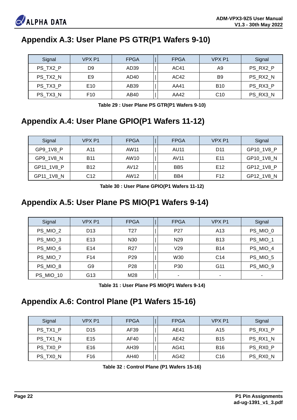<span id="page-27-0"></span>

## <span id="page-27-4"></span>**Appendix A.3: User Plane PS GTR(P1 Wafers 9-10)**

| Signal   | VPX P1         | <b>FPGA</b> | <b>FPGA</b> | VPX <sub>P1</sub> | Signal   |
|----------|----------------|-------------|-------------|-------------------|----------|
| PS TX2 P | D <sub>9</sub> | AD39        | AC41        | A <sub>9</sub>    | PS RX2 P |
| PS TX2 N | E9             | AD40        | AC42        | B <sub>9</sub>    | PS RX2 N |
| PS TX3 P | E10            | AB39        | AA41        | <b>B10</b>        | PS RX3 P |
| PS TX3 N | F10            | AB40        | AA42        | C10               | PS RX3 N |

**Table 29 : User Plane PS GTR(P1 Wafers 9-10)**

## <span id="page-27-5"></span><span id="page-27-1"></span>**Appendix A.4: User Plane GPIO(P1 Wafers 11-12)**

| Signal     | VPX P1     | <b>FPGA</b> | <b>FPGA</b>     | VPX P1          | Signal     |
|------------|------------|-------------|-----------------|-----------------|------------|
| GP9 1V8 P  | A11        | AW11        | AU11            | D11             | GP10 1V8 P |
| GP9 1V8 N  | <b>B11</b> | AW10        | AV11            | E11             | GP10 1V8 N |
| GP11 1V8 P | <b>B12</b> | AV12        | BB <sub>5</sub> | F <sub>12</sub> | GP12 1V8 P |
| GP11 1V8 N | C12        | AW12        | BB4             | F <sub>12</sub> | GP12 1V8 N |

**Table 30 : User Plane GPIO(P1 Wafers 11-12)**

## <span id="page-27-6"></span><span id="page-27-2"></span>**Appendix A.5: User Plane PS MIO(P1 Wafers 9-14)**

| Signal           | VPX <sub>P1</sub> | <b>FPGA</b> | <b>FPGA</b> | VPX P1          | Signal   |
|------------------|-------------------|-------------|-------------|-----------------|----------|
| PS MIO 2         | D13               | <b>T27</b>  | P27         | A13             | PS MIO 0 |
| PS MIO 3         | E13               | N30         | N29         | <b>B13</b>      | PS MIO 1 |
| PS MIO 6         | E14               | R27         | V29         | <b>B14</b>      | PS MIO 4 |
| PS MIO 7         | F14               | P29         | W30         | C <sub>14</sub> | PS MIO 5 |
| PS MIO 8         | G9                | P28         | P30         | G11             | PS MIO 9 |
| <b>PS MIO 10</b> | G13               | M28         | ٠           | ×,              | ÷.       |

**Table 31 : User Plane PS MIO(P1 Wafers 9-14)**

### <span id="page-27-7"></span><span id="page-27-3"></span>**Appendix A.6: Control Plane (P1 Wafers 15-16)**

| Signal   | VPX <sub>P1</sub> | <b>FPGA</b> | <b>FPGA</b> | VPX P1          | Signal   |
|----------|-------------------|-------------|-------------|-----------------|----------|
| PS TX1 P | D <sub>15</sub>   | AF39        | AE41        | A <sub>15</sub> | PS RX1 P |
| PS TX1 N | E <sub>15</sub>   | AF40        | AE42        | <b>B15</b>      | PS RX1 N |
| PS TX0 P | E16               | AH39        | AG41        | <b>B16</b>      | PS RX0 P |
| PS TX0 N | F <sub>16</sub>   | AH40        | AG42        | C.16            | PS RX0 N |

**Table 32 : Control Plane (P1 Wafers 15-16)**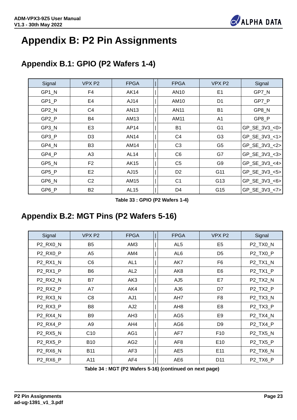

<span id="page-28-0"></span>

| Signal            | VPX <sub>P2</sub> | <b>FPGA</b>      | <b>FPGA</b>    | VPX <sub>P2</sub> | Signal        |
|-------------------|-------------------|------------------|----------------|-------------------|---------------|
| GP1 N             | F <sub>4</sub>    | AK14             | AN10           | E <sub>1</sub>    | GP7 N         |
| GP1 P             | E <sub>4</sub>    | AJ14             | AM10           | D <sub>1</sub>    | GP7 P         |
| GP <sub>2</sub> N | C <sub>4</sub>    | AN13             | <b>AN11</b>    | <b>B1</b>         | GP8 N         |
| GP <sub>2</sub> P | <b>B4</b>         | AM13             | AM11           | A <sub>1</sub>    | GP8 P         |
| GP3 N             | E <sub>3</sub>    | AP14             | <b>B1</b>      | G <sub>1</sub>    | GP SE 3V3 <0> |
| GP3 P             | D <sub>3</sub>    | AN14             | C <sub>4</sub> | G <sub>3</sub>    | GP SE 3V3 <1> |
| GP4 N             | B <sub>3</sub>    | AM14             | C <sub>3</sub> | G <sub>5</sub>    | GP SE 3V3 <2> |
| GP4 P             | A <sub>3</sub>    | AL <sub>14</sub> | C6             | G7                | GP_SE_3V3_<3> |
| GP5 N             | F <sub>2</sub>    | AK15             | C <sub>5</sub> | G9                | GP SE 3V3 <4> |
| GP5 P             | E <sub>2</sub>    | AJ15             | D <sub>2</sub> | G11               | GP SE 3V3 <5> |
| GP6 N             | C2                | AM15             | C <sub>1</sub> | G13               | GP SE 3V3 <6> |
| GP6 P             | <b>B2</b>         | AL15             | D <sub>4</sub> | G15               | GP SE 3V3 <7> |

## <span id="page-28-3"></span><span id="page-28-1"></span>**Appendix B.1: GPIO (P2 Wafers 1-4)**

**Table 33 : GPIO (P2 Wafers 1-4)**

## <span id="page-28-4"></span><span id="page-28-2"></span>**Appendix B.2: MGT Pins (P2 Wafers 5-16)**

| Signal                           | VPX <sub>P2</sub> | <b>FPGA</b>     | <b>FPGA</b>     | VPX <sub>P2</sub> | Signal                           |
|----------------------------------|-------------------|-----------------|-----------------|-------------------|----------------------------------|
| P <sub>2</sub> R <sub>X0</sub> N | <b>B5</b>         | AM3             | AL5             | E <sub>5</sub>    | P <sub>2</sub> T <sub>X0</sub> N |
| P <sub>2</sub> R <sub>X0</sub> P | A5                | AM4             | AL6             | D <sub>5</sub>    | P <sub>2</sub> T <sub>X0</sub> P |
| <b>P2 RX1 N</b>                  | C6                | AL <sub>1</sub> | AK7             | F6                | <b>P2 TX1 N</b>                  |
| P <sub>2</sub> R <sub>X1</sub> P | <b>B6</b>         | AL <sub>2</sub> | AK8             | E6                | P <sub>2</sub> T <sub>X1</sub> P |
| <b>P2 RX2 N</b>                  | <b>B7</b>         | AK3             | AJ <sub>5</sub> | <b>E7</b>         | P <sub>2</sub> TX <sub>2</sub> N |
| P <sub>2</sub> R <sub>X2</sub> P | A7                | AK4             | AJ6             | D7                | P <sub>2</sub> T <sub>X2</sub> P |
| <b>P2 RX3 N</b>                  | C8                | AJ1             | AH7             | F <sub>8</sub>    | P <sub>2</sub> T <sub>X3</sub> N |
| P <sub>2</sub> R <sub>X3</sub> P | B <sub>8</sub>    | AJ2             | AH <sub>8</sub> | E8                | P <sub>2</sub> T <sub>X3</sub> P |
| <b>P2 RX4 N</b>                  | <b>B9</b>         | AH <sub>3</sub> | AG5             | E9                | P <sub>2</sub> T <sub>X4</sub> N |
| P <sub>2</sub> R <sub>X4</sub> P | A9                | AH4             | AG6             | D <sub>9</sub>    | P <sub>2</sub> T <sub>X4</sub> P |
| <b>P2 RX5 N</b>                  | C10               | AG1             | AF7             | F10               | P <sub>2</sub> T <sub>X5</sub> N |
| P <sub>2</sub> R <sub>X5</sub> P | <b>B10</b>        | AG <sub>2</sub> | AF8             | E10               | P <sub>2</sub> T <sub>X5</sub> P |
| <b>P2 RX6 N</b>                  | <b>B11</b>        | AF3             | AE5             | E11               | <b>P2 TX6 N</b>                  |
| <b>P2 RX6 P</b>                  | A11               | AF4             | AE6             | D11               | P <sub>2</sub> TX <sub>6</sub> P |

**Table 34 : MGT (P2 Wafers 5-16) (continued on next page)**

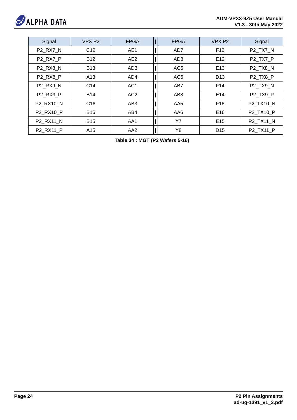

| Signal                           | VPX <sub>P2</sub> | <b>FPGA</b>     | <b>FPGA</b>     | VPX <sub>P2</sub> | Signal                           |
|----------------------------------|-------------------|-----------------|-----------------|-------------------|----------------------------------|
| <b>P2 RX7 N</b>                  | C12               | AE1             | AD7             | F <sub>12</sub>   | P <sub>2</sub> T <sub>X7</sub> N |
| P <sub>2</sub> R <sub>X7</sub> P | <b>B12</b>        | AE2             | AD <sub>8</sub> | E12               | P <sub>2</sub> T <sub>X7</sub> P |
| P <sub>2</sub> R <sub>X8</sub> N | <b>B13</b>        | AD <sub>3</sub> | AC <sub>5</sub> | E13               | P <sub>2</sub> T <sub>X8</sub> N |
| P <sub>2</sub> R <sub>X8</sub> P | A13               | AD4             | AC6             | D13               | P <sub>2</sub> T <sub>X8</sub> P |
| P <sub>2</sub> R <sub>X9</sub> N | C <sub>14</sub>   | AC1             | AB7             | F14               | P <sub>2</sub> T <sub>X9</sub> N |
| P <sub>2</sub> R <sub>X9</sub> P | <b>B14</b>        | AC <sub>2</sub> | AB8             | E14               | P <sub>2</sub> T <sub>X9</sub> P |
| P2 RX10 N                        | C16               | AB <sub>3</sub> | AA5             | F16               | P2 TX10 N                        |
| P2 RX10 P                        | <b>B16</b>        | AB4             | AA6             | E16               | P2 TX10 P                        |
| P2 RX11 N                        | <b>B15</b>        | AA1             | <b>Y7</b>       | E <sub>15</sub>   | P2 TX11 N                        |
| P2 RX11 P                        | A15               | AA2             | Y8              | D <sub>15</sub>   | P2 TX11 P                        |

**Table 34 : MGT (P2 Wafers 5-16)**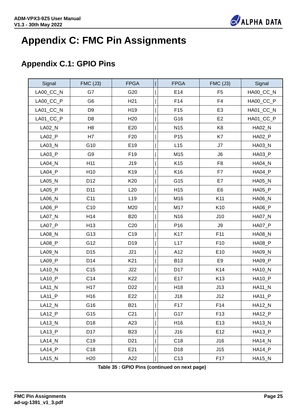

## <span id="page-30-0"></span>**Appendix C: FMC Pin Assignments**

## <span id="page-30-2"></span><span id="page-30-1"></span>**Appendix C.1: GPIO Pins**

| Signal        | <b>FMC (J3)</b> | <b>FPGA</b>     | <b>FPGA</b>     | <b>FMC (J3)</b> | Signal        |
|---------------|-----------------|-----------------|-----------------|-----------------|---------------|
| LA00 CC N     | G7              | G20             | E14             | F <sub>5</sub>  | HA00 CC N     |
| LA00 CC P     | G6              | H <sub>21</sub> | F14             | F <sub>4</sub>  | HA00 CC P     |
| LA01 CC N     | D <sub>9</sub>  | H19             | F15             | E <sub>3</sub>  | HA01 CC N     |
| LA01 CC P     | D <sub>8</sub>  | H <sub>20</sub> | G16             | E <sub>2</sub>  | HA01 CC P     |
| <b>LA02 N</b> | H <sub>8</sub>  | E20             | N <sub>15</sub> | K8              | <b>HA02 N</b> |
| <b>LA02 P</b> | H7              | F20             | P <sub>15</sub> | K7              | <b>HA02 P</b> |
| LA03 N        | G10             | E19             | L <sub>15</sub> | J7              | <b>HA03 N</b> |
| <b>LA03 P</b> | G9              | F19             | M15             | J6              | <b>HA03 P</b> |
| <b>LA04 N</b> | H11             | J19             | K15             | F8              | <b>HA04 N</b> |
| <b>LA04 P</b> | H10             | K19             | K16             | F7              | <b>HA04 P</b> |
| <b>LA05 N</b> | D <sub>12</sub> | K20             | G15             | E7              | <b>HA05 N</b> |
| <b>LA05 P</b> | D11             | L20             | H <sub>15</sub> | E6              | <b>HA05 P</b> |
| <b>LA06 N</b> | C <sub>11</sub> | L <sub>19</sub> | M16             | K11             | <b>HA06 N</b> |
| <b>LA06 P</b> | C10             | M20             | M17             | K10             | <b>HA06 P</b> |
| LA07 N        | H <sub>14</sub> | <b>B20</b>      | N <sub>16</sub> | J10             | HA07 N        |
| LA07 P        | H <sub>13</sub> | C20             | P16             | J9              | HA07 P        |
| <b>LA08 N</b> | G13             | C19             | K17             | F11             | <b>HA08 N</b> |
| LA08 P        | G12             | D19             | L <sub>17</sub> | F10             | <b>HA08 P</b> |
| <b>LA09 N</b> | D <sub>15</sub> | J21             | A12             | E10             | <b>HA09 N</b> |
| <b>LA09 P</b> | D <sub>14</sub> | K21             | <b>B13</b>      | E9              | <b>HA09 P</b> |
| LA10 N        | C15             | J22             | D17             | K14             | <b>HA10 N</b> |
| <b>LA10 P</b> | C <sub>14</sub> | K22             | E17             | K13             | <b>HA10_P</b> |
| <b>LA11 N</b> | H <sub>17</sub> | D <sub>22</sub> | H <sub>18</sub> | J13             | <b>HA11 N</b> |
| <b>LA11 P</b> | H <sub>16</sub> | E22             | J18             | J12             | <b>HA11 P</b> |
| <b>LA12 N</b> | G16             | B <sub>21</sub> | F17             | F14             | <b>HA12 N</b> |
| <b>LA12 P</b> | G15             | C <sub>21</sub> | G17             | F13             | <b>HA12 P</b> |
| <b>LA13 N</b> | D18             | A23             | H <sub>16</sub> | E13             | <b>HA13 N</b> |
| <b>LA13 P</b> | D17             | <b>B23</b>      | J16             | E12             | <b>HA13 P</b> |
| <b>LA14 N</b> | C19             | D <sub>21</sub> | C18             | J16             | <b>HA14 N</b> |
| LA14_P        | C18             | E21             | D <sub>18</sub> | J15             | <b>HA14_P</b> |
| <b>LA15 N</b> | H <sub>20</sub> | A22             | C13             | F17             | <b>HA15 N</b> |

**Table 35 : GPIO Pins (continued on next page)**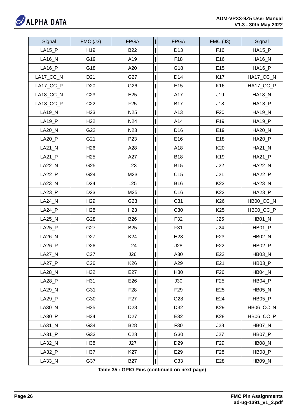

| Signal        | <b>FMC (J3)</b> | <b>FPGA</b>     | <b>FPGA</b>     | <b>FMC (J3)</b> | Signal        |
|---------------|-----------------|-----------------|-----------------|-----------------|---------------|
| <b>LA15 P</b> | H <sub>19</sub> | <b>B22</b>      | D13             | F16             | <b>HA15 P</b> |
| <b>LA16 N</b> | G19             | A19             | F18             | E16             | <b>HA16 N</b> |
| <b>LA16 P</b> | G18             | A20             | G18             | E <sub>15</sub> | <b>HA16_P</b> |
| LA17_CC_N     | D <sub>21</sub> | G27             | D14             | K17             | HA17_CC_N     |
| LA17_CC_P     | D <sub>20</sub> | G26             | E <sub>15</sub> | K16             | HA17_CC_P     |
| LA18_CC_N     | C <sub>23</sub> | E25             | A17             | J19             | <b>HA18_N</b> |
| LA18_CC_P     | C <sub>22</sub> | F <sub>25</sub> | <b>B17</b>      | J18             | <b>HA18_P</b> |
| LA19_N        | H <sub>23</sub> | N <sub>25</sub> | A13             | F20             | <b>HA19_N</b> |
| LA19_P        | H <sub>22</sub> | N24             | A14             | F19             | <b>HA19_P</b> |
| <b>LA20_N</b> | G <sub>22</sub> | N <sub>23</sub> | D <sub>16</sub> | E19             | <b>HA20_N</b> |
| LA20_P        | G21             | P23             | E16             | E18             | <b>HA20_P</b> |
| LA21_N        | H <sub>26</sub> | A28             | A18             | K20             | <b>HA21_N</b> |
| LA21_P        | H <sub>25</sub> | A27             | <b>B18</b>      | K19             | HA21_P        |
| <b>LA22_N</b> | G <sub>25</sub> | L23             | <b>B15</b>      | J22             | <b>HA22_N</b> |
| $LA22_P$      | G <sub>24</sub> | M23             | C <sub>15</sub> | J21             | <b>HA22_P</b> |
| LA23_N        | D <sub>24</sub> | L <sub>25</sub> | <b>B16</b>      | K23             | <b>HA23_N</b> |
| LA23_P        | D <sub>23</sub> | M25             | C16             | K22             | HA23_P        |
| LA24_N        | H <sub>29</sub> | G23             | C <sub>31</sub> | K26             | HB00_CC_N     |
| LA24_P        | H <sub>28</sub> | H <sub>23</sub> | C30             | K25             | HB00_CC_P     |
| LA25_N        | G28             | <b>B26</b>      | F32             | J25             | <b>HB01_N</b> |
| LA25_P        | G27             | <b>B25</b>      | F31             | J24             | HB01_P        |
| LA26_N        | D <sub>27</sub> | K24             | H <sub>28</sub> | F <sub>23</sub> | <b>HB02_N</b> |
| LA26_P        | D <sub>26</sub> | L24             | J28             | F <sub>22</sub> | HB02_P        |
| <b>LA27_N</b> | C27             | J26             | A30             | E22             | <b>HB03_N</b> |
| LA27_P        | C <sub>26</sub> | K26             | A29             | E21             | HB03 P        |
| LA28_N        | H32             | E27             | H30             | F26             | <b>HB04_N</b> |
| LA28_P        | H31             | E26             | J30             | F <sub>25</sub> | HB04 P        |
| <b>LA29 N</b> | G31             | F28             | F29             | E25             | HB05 N        |
| <b>LA29 P</b> | G30             | F27             | G28             | E24             | <b>HB05_P</b> |
| <b>LA30 N</b> | H35             | D <sub>28</sub> | D32             | K29             | HB06_CC_N     |
| LA30_P        | H34             | D <sub>27</sub> | E32             | K28             | HB06_CC_P     |
| LA31_N        | G34             | <b>B28</b>      | F30             | <b>J28</b>      | HB07_N        |
| <b>LA31 P</b> | G33             | C28             | G30             | <b>J27</b>      | HB07 P        |
| LA32_N        | H38             | J27             | D <sub>29</sub> | F29             | <b>HB08_N</b> |
| LA32_P        | H37             | K27             | E29             | F28             | HB08 P        |
| <b>LA33 N</b> | G37             | <b>B27</b>      | C33             | E28             | HB09 N        |

**Table 35 : GPIO Pins (continued on next page)**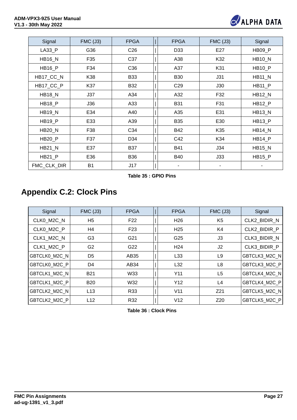

| Signal        | <b>FMC (J3)</b> | <b>FPGA</b>     | <b>FPGA</b> | <b>FMC (J3)</b> | Signal        |
|---------------|-----------------|-----------------|-------------|-----------------|---------------|
| LA33 P        | G36             | C <sub>26</sub> | D33         | E27             | HB09 P        |
| <b>HB16 N</b> | F35             | C <sub>37</sub> | A38         | K32             | <b>HB10 N</b> |
| <b>HB16 P</b> | F34             | C36             | A37         | K31             | <b>HB10 P</b> |
| HB17 CC N     | K38             | <b>B33</b>      | <b>B30</b>  | J31             | <b>HB11 N</b> |
| HB17 CC P     | K37             | <b>B32</b>      | C29         | J30             | <b>HB11 P</b> |
| <b>HB18 N</b> | <b>J37</b>      | A34             | A32         | F32             | <b>HB12 N</b> |
| <b>HB18 P</b> | <b>J36</b>      | A33             | <b>B31</b>  | F31             | <b>HB12 P</b> |
| <b>HB19 N</b> | E34             | A40             | A35         | E31             | <b>HB13 N</b> |
| <b>HB19 P</b> | E33             | A39             | <b>B35</b>  | E30             | <b>HB13 P</b> |
| <b>HB20 N</b> | F38             | C <sub>34</sub> | <b>B42</b>  | K35             | <b>HB14 N</b> |
| <b>HB20 P</b> | F37             | D34             | C42         | K34             | <b>HB14 P</b> |
| <b>HB21 N</b> | E37             | <b>B37</b>      | <b>B41</b>  | J34             | <b>HB15 N</b> |
| <b>HB21 P</b> | E36             | <b>B36</b>      | <b>B40</b>  | <b>J33</b>      | <b>HB15 P</b> |
| FMC CLK DIR   | <b>B1</b>       | J17             | ٠           | ٠               |               |

**Table 35 : GPIO Pins**

## <span id="page-32-1"></span><span id="page-32-0"></span>**Appendix C.2: Clock Pins**

| Signal        | <b>FMC (J3)</b> | <b>FPGA</b>     | <b>FPGA</b>     | <b>FMC (J3)</b> | Signal        |
|---------------|-----------------|-----------------|-----------------|-----------------|---------------|
| CLK0 M2C N    | H <sub>5</sub>  | F <sub>22</sub> | H <sub>26</sub> | K <sub>5</sub>  | CLK2 BIDIR N  |
| CLK0 M2C P    | H4              | F <sub>23</sub> | H <sub>25</sub> | K4              | CLK2 BIDIR P  |
| CLK1 M2C N    | G <sub>3</sub>  | G21             | G25             | J3              | CLK3 BIDIR N  |
| CLK1 M2C P    | G <sub>2</sub>  | G22             | H <sub>24</sub> | J2              | CLK3 BIDIR P  |
| GBTCLK0 M2C N | D <sub>5</sub>  | AB35            | L33             | L <sub>9</sub>  | GBTCLK3 M2C N |
| GBTCLK0 M2C P | D <sub>4</sub>  | AB34            | L32             | L8              | GBTCLK3 M2C P |
| GBTCLK1 M2C N | <b>B21</b>      | W33             | Y11             | L <sub>5</sub>  | GBTCLK4 M2C N |
| GBTCLK1 M2C P | <b>B20</b>      | W32             | Y12             | L <sub>4</sub>  | GBTCLK4 M2C P |
| GBTCLK2 M2C N | L13             | R33             | V <sub>11</sub> | Z21             | GBTCLK5 M2C N |
| GBTCLK2 M2C P | L12             | R32             | V12             | Z20             | GBTCLK5 M2C P |

**Table 36 : Clock Pins**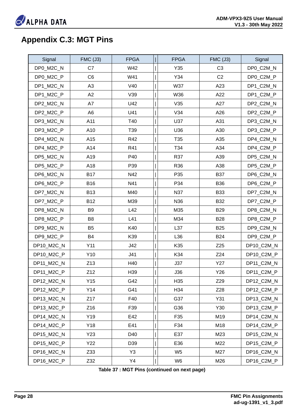<span id="page-33-0"></span>

## <span id="page-33-1"></span>**Appendix C.3: MGT Pins**

| Signal            | <b>FMC (J3)</b> | <b>FPGA</b>     | <b>FPGA</b>    | <b>FMC (J3)</b> | Signal     |
|-------------------|-----------------|-----------------|----------------|-----------------|------------|
| DP0 M2C N         | C7              | W42             | Y35            | C <sub>3</sub>  | DP0_C2M_N  |
| DP0 M2C P         | C6              | W41             | Y34            | C <sub>2</sub>  | DP0 C2M P  |
| DP1 M2C N         | A3              | V40             | W37            | A23             | DP1 C2M N  |
| DP1 M2C P         | A <sub>2</sub>  | V39             | W36            | A22             | DP1 C2M P  |
| DP2_M2C_N         | A7              | U42             | V35            | A27             | DP2_C2M_N  |
| DP2 M2C P         | A6              | U41             | V34            | A26             | DP2 C2M P  |
| DP3_M2C_N         | A11             | T40             | U37            | A31             | DP3_C2M_N  |
| DP3 M2C P         | A10             | T39             | U36            | A30             | DP3_C2M_P  |
| DP4 M2C N         | A15             | R42             | T35            | A35             | DP4 C2M N  |
| DP4 M2C P         | A14             | R41             | T34            | A34             | DP4 C2M P  |
| DP5 M2C N         | A19             | P <sub>40</sub> | R37            | A39             | DP5 C2M N  |
| DP5 M2C P         | A18             | P39             | R36            | A38             | DP5 C2M P  |
| DP6 M2C N         | <b>B17</b>      | N42             | P35            | <b>B37</b>      | DP6 C2M N  |
| DP6 M2C P         | <b>B16</b>      | N41             | P34            | <b>B36</b>      | DP6_C2M_P  |
| DP7_M2C_N         | <b>B13</b>      | M40             | N37            | <b>B33</b>      | DP7_C2M_N  |
| DP7 M2C P         | <b>B12</b>      | M39             | N36            | <b>B32</b>      | DP7_C2M_P  |
| DP8 M2C N         | <b>B9</b>       | L42             | M35            | <b>B29</b>      | DP8 C2M N  |
| DP8 M2C P         | B <sub>8</sub>  | L41             | M34            | <b>B28</b>      | DP8 C2M P  |
| DP9_M2C_N         | <b>B5</b>       | K40             | L37            | <b>B25</b>      | DP9_C2M_N  |
| DP9 M2C P         | <b>B4</b>       | K39             | L36            | <b>B24</b>      | DP9 C2M P  |
| DP10_M2C_N        | Y11             | <b>J42</b>      | K35            | Z25             | DP10_C2M_N |
| DP10_M2C_P        | Y10             | J41             | K34            | Z24             | DP10_C2M_P |
| DP11 M2C N        | Z <sub>13</sub> | H40             | <b>J37</b>     | Y27             | DP11_C2M_N |
| <b>DP11 M2C P</b> | Z <sub>12</sub> | H39             | <b>J36</b>     | Y26             | DP11 C2M P |
| DP12 M2C N        | Y15             | G42             | H35            | Z29             | DP12 C2M N |
| DP12_M2C_P        | Y14             | G41             | H34            | Z28             | DP12_C2M_P |
| DP13 M2C N        | Z <sub>17</sub> | F40             | G37            | Y31             | DP13_C2M_N |
| DP13 M2C P        | Z <sub>16</sub> | F39             | G36            | Y30             | DP13_C2M_P |
| DP14_M2C_N        | Y19             | E42             | F35            | M19             | DP14_C2M_N |
| DP14 M2C P        | Y18             | E41             | F34            | M18             | DP14_C2M_P |
| DP15 M2C N        | Y23             | D40             | E37            | M23             | DP15 C2M N |
| DP15 M2C P        | Y22             | D39             | E36            | M22             | DP15 C2M P |
| DP16_M2C_N        | Z33             | Y3              | W <sub>5</sub> | M27             | DP16_C2M_N |
| DP16_M2C_P        | Z32             | Y4              | W6             | M26             | DP16_C2M_P |

**Table 37 : MGT Pins (continued on next page)**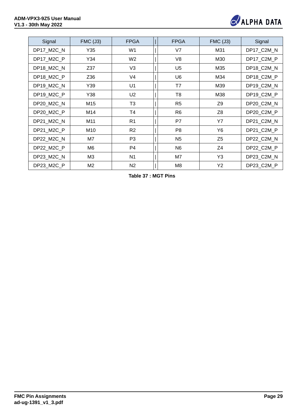

| Signal     | FMC (J3)       | <b>FPGA</b>    | <b>FPGA</b>    | <b>FMC (J3)</b> | Signal     |
|------------|----------------|----------------|----------------|-----------------|------------|
| DP17_M2C_N | Y35            | W <sub>1</sub> | V7             | M31             | DP17_C2M_N |
| DP17 M2C P | Y34            | W <sub>2</sub> | V8             | M30             | DP17 C2M P |
| DP18_M2C_N | Z37            | V3             | U <sub>5</sub> | M35             | DP18 C2M N |
| DP18 M2C P | Z36            | V <sub>4</sub> | U6             | M34             | DP18 C2M P |
| DP19_M2C_N | Y39            | U1             | T7             | M39             | DP19 C2M N |
| DP19 M2C P | Y38            | U2             | T <sub>8</sub> | M38             | DP19 C2M P |
| DP20_M2C_N | M15            | T <sub>3</sub> | R <sub>5</sub> | Z <sub>9</sub>  | DP20 C2M N |
| DP20 M2C P | M14            | <b>T4</b>      | R <sub>6</sub> | Z8              | DP20 C2M P |
| DP21 M2C N | M11            | R <sub>1</sub> | P7             | <b>Y7</b>       | DP21 C2M N |
| DP21_M2C_P | M10            | R <sub>2</sub> | P <sub>8</sub> | Y6              | DP21 C2M P |
| DP22 M2C N | M7             | P <sub>3</sub> | N <sub>5</sub> | <b>Z5</b>       | DP22_C2M_N |
| DP22 M2C P | M <sub>6</sub> | P <sub>4</sub> | N <sub>6</sub> | Z4              | DP22 C2M P |
| DP23 M2C N | M <sub>3</sub> | N <sub>1</sub> | M7             | Y3              | DP23 C2M N |
| DP23 M2C P | M <sub>2</sub> | N <sub>2</sub> | M <sub>8</sub> | Y <sub>2</sub>  | DP23 C2M P |

**Table 37 : MGT Pins**